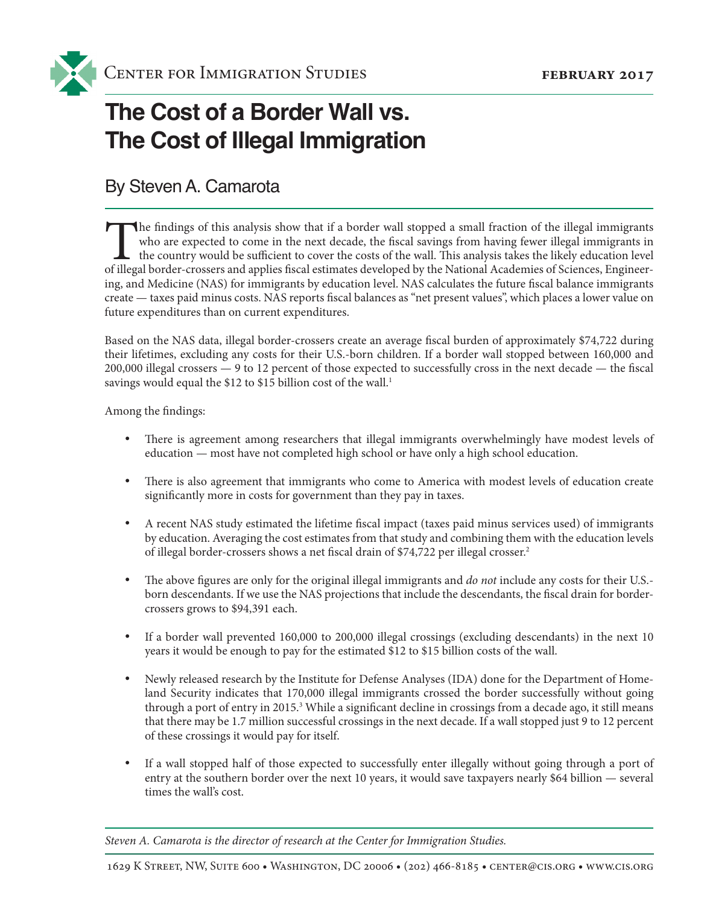

# **The Cost of a Border Wall vs. The Cost of Illegal Immigration**

### By Steven A. Camarota

The findings of this analysis show that if a border wall stopped a small fraction of the illegal immigrants who are expected to come in the next decade, the fiscal savings from having fewer illegal immigrants in the countr who are expected to come in the next decade, the fiscal savings from having fewer illegal immigrants in  $\blacktriangle$  the country would be sufficient to cover the costs of the wall. This analysis takes the likely education level of illegal border-crossers and applies fiscal estimates developed by the National Academies of Sciences, Engineering, and Medicine (NAS) for immigrants by education level. NAS calculates the future fiscal balance immigrants create — taxes paid minus costs. NAS reports fiscal balances as "net present values", which places a lower value on future expenditures than on current expenditures.

Based on the NAS data, illegal border-crossers create an average fiscal burden of approximately \$74,722 during their lifetimes, excluding any costs for their U.S.-born children. If a border wall stopped between 160,000 and 200,000 illegal crossers — 9 to 12 percent of those expected to successfully cross in the next decade — the fiscal savings would equal the \$12 to \$15 billion cost of the wall.<sup>1</sup>

Among the findings:

- There is agreement among researchers that illegal immigrants overwhelmingly have modest levels of education — most have not completed high school or have only a high school education.
- There is also agreement that immigrants who come to America with modest levels of education create significantly more in costs for government than they pay in taxes.
- • A recent NAS study estimated the lifetime fiscal impact (taxes paid minus services used) of immigrants by education. Averaging the cost estimates from that study and combining them with the education levels of illegal border-crossers shows a net fiscal drain of \$74,722 per illegal crosser.2
- The above figures are only for the original illegal immigrants and *do not* include any costs for their U.S.born descendants. If we use the NAS projections that include the descendants, the fiscal drain for bordercrossers grows to \$94,391 each.
- If a border wall prevented  $160,000$  to  $200,000$  illegal crossings (excluding descendants) in the next  $10$ years it would be enough to pay for the estimated \$12 to \$15 billion costs of the wall.
- • Newly released research by the Institute for Defense Analyses (IDA) done for the Department of Homeland Security indicates that 170,000 illegal immigrants crossed the border successfully without going through a port of entry in 2015.<sup>3</sup> While a significant decline in crossings from a decade ago, it still means that there may be 1.7 million successful crossings in the next decade. If a wall stopped just 9 to 12 percent of these crossings it would pay for itself.
- If a wall stopped half of those expected to successfully enter illegally without going through a port of entry at the southern border over the next 10 years, it would save taxpayers nearly \$64 billion — several times the wall's cost.

*Steven A. Camarota is the director of research at the Center for Immigration Studies.*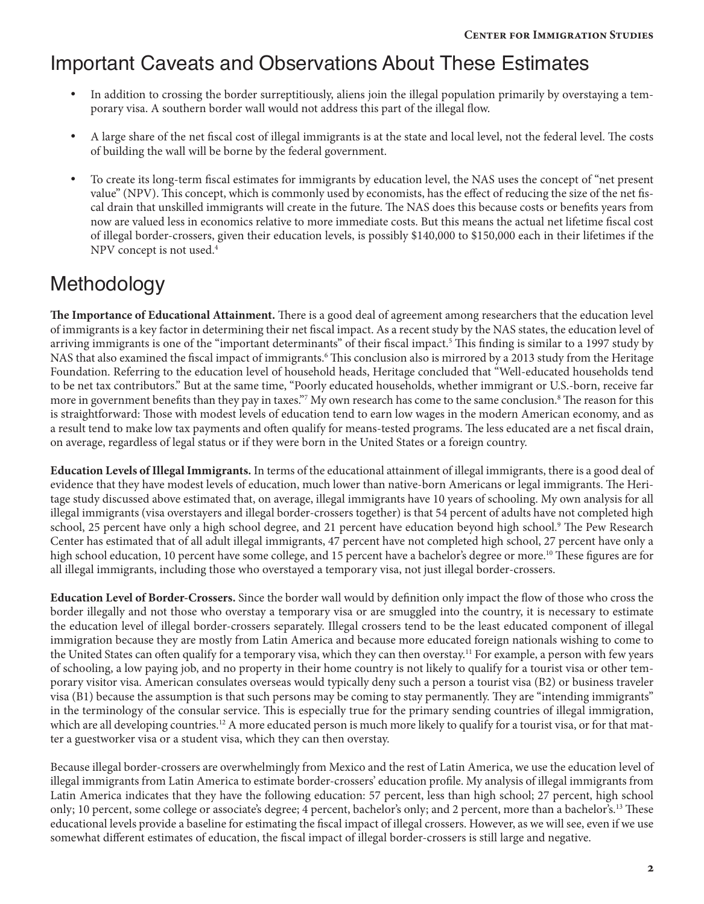### Important Caveats and Observations About These Estimates

- In addition to crossing the border surreptitiously, aliens join the illegal population primarily by overstaying a temporary visa. A southern border wall would not address this part of the illegal flow.
- A large share of the net fiscal cost of illegal immigrants is at the state and local level, not the federal level. The costs of building the wall will be borne by the federal government.
- • To create its long-term fiscal estimates for immigrants by education level, the NAS uses the concept of "net present value" (NPV). This concept, which is commonly used by economists, has the effect of reducing the size of the net fiscal drain that unskilled immigrants will create in the future. The NAS does this because costs or benefits years from now are valued less in economics relative to more immediate costs. But this means the actual net lifetime fiscal cost of illegal border-crossers, given their education levels, is possibly \$140,000 to \$150,000 each in their lifetimes if the NPV concept is not used.4

### Methodology

**The Importance of Educational Attainment.** There is a good deal of agreement among researchers that the education level of immigrants is a key factor in determining their net fiscal impact. As a recent study by the NAS states, the education level of arriving immigrants is one of the "important determinants" of their fiscal impact.5 This finding is similar to a 1997 study by NAS that also examined the fiscal impact of immigrants.<sup>6</sup> This conclusion also is mirrored by a 2013 study from the Heritage Foundation. Referring to the education level of household heads, Heritage concluded that "Well-educated households tend to be net tax contributors." But at the same time, "Poorly educated households, whether immigrant or U.S.-born, receive far more in government benefits than they pay in taxes."<sup>7</sup> My own research has come to the same conclusion.<sup>8</sup> The reason for this is straightforward: Those with modest levels of education tend to earn low wages in the modern American economy, and as a result tend to make low tax payments and often qualify for means-tested programs. The less educated are a net fiscal drain, on average, regardless of legal status or if they were born in the United States or a foreign country.

**Education Levels of Illegal Immigrants.** In terms of the educational attainment of illegal immigrants, there is a good deal of evidence that they have modest levels of education, much lower than native-born Americans or legal immigrants. The Heritage study discussed above estimated that, on average, illegal immigrants have 10 years of schooling. My own analysis for all illegal immigrants (visa overstayers and illegal border-crossers together) is that 54 percent of adults have not completed high school, 25 percent have only a high school degree, and 21 percent have education beyond high school.9 The Pew Research Center has estimated that of all adult illegal immigrants, 47 percent have not completed high school, 27 percent have only a high school education, 10 percent have some college, and 15 percent have a bachelor's degree or more.<sup>10</sup> These figures are for all illegal immigrants, including those who overstayed a temporary visa, not just illegal border-crossers.

**Education Level of Border-Crossers.** Since the border wall would by definition only impact the flow of those who cross the border illegally and not those who overstay a temporary visa or are smuggled into the country, it is necessary to estimate the education level of illegal border-crossers separately. Illegal crossers tend to be the least educated component of illegal immigration because they are mostly from Latin America and because more educated foreign nationals wishing to come to the United States can often qualify for a temporary visa, which they can then overstay.<sup>11</sup> For example, a person with few years of schooling, a low paying job, and no property in their home country is not likely to qualify for a tourist visa or other temporary visitor visa. American consulates overseas would typically deny such a person a tourist visa (B2) or business traveler visa (B1) because the assumption is that such persons may be coming to stay permanently. They are "intending immigrants" in the terminology of the consular service. This is especially true for the primary sending countries of illegal immigration, which are all developing countries.<sup>12</sup> A more educated person is much more likely to qualify for a tourist visa, or for that matter a guestworker visa or a student visa, which they can then overstay.

Because illegal border-crossers are overwhelmingly from Mexico and the rest of Latin America, we use the education level of illegal immigrants from Latin America to estimate border-crossers' education profile. My analysis of illegal immigrants from Latin America indicates that they have the following education: 57 percent, less than high school; 27 percent, high school only; 10 percent, some college or associate's degree; 4 percent, bachelor's only; and 2 percent, more than a bachelor's.13 These educational levels provide a baseline for estimating the fiscal impact of illegal crossers. However, as we will see, even if we use somewhat different estimates of education, the fiscal impact of illegal border-crossers is still large and negative.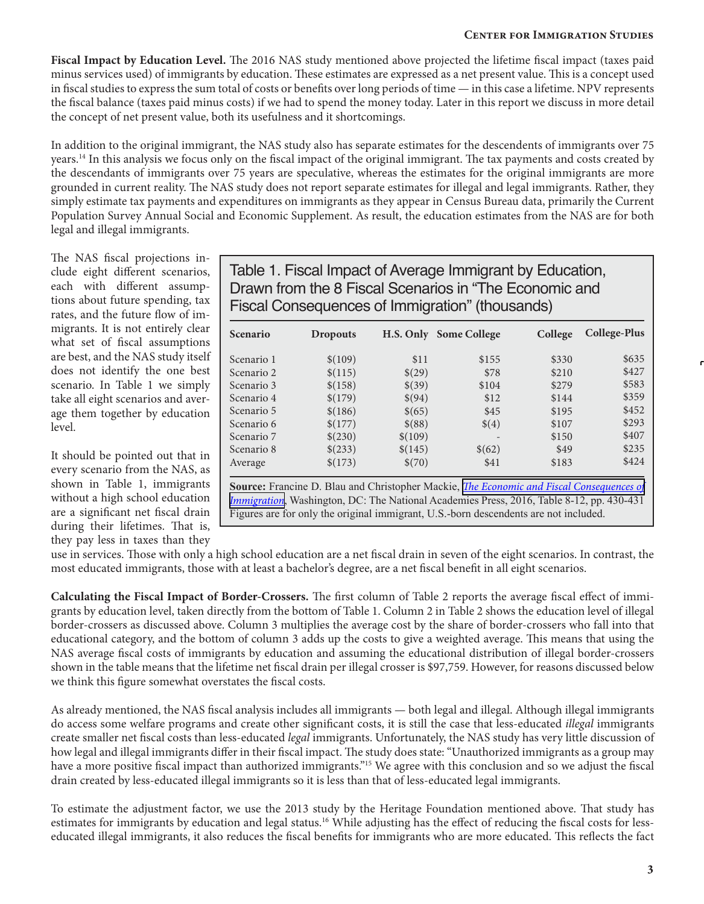#### **Center for Immigration Studies**

**Fiscal Impact by Education Level.** The 2016 NAS study mentioned above projected the lifetime fiscal impact (taxes paid minus services used) of immigrants by education. These estimates are expressed as a net present value. This is a concept used in fiscal studies to express the sum total of costs or benefits over long periods of time — in this case a lifetime. NPV represents the fiscal balance (taxes paid minus costs) if we had to spend the money today. Later in this report we discuss in more detail the concept of net present value, both its usefulness and it shortcomings.

In addition to the original immigrant, the NAS study also has separate estimates for the descendents of immigrants over 75 years.14 In this analysis we focus only on the fiscal impact of the original immigrant. The tax payments and costs created by the descendants of immigrants over 75 years are speculative, whereas the estimates for the original immigrants are more grounded in current reality. The NAS study does not report separate estimates for illegal and legal immigrants. Rather, they simply estimate tax payments and expenditures on immigrants as they appear in Census Bureau data, primarily the Current Population Survey Annual Social and Economic Supplement. As result, the education estimates from the NAS are for both legal and illegal immigrants.

The NAS fiscal projections include eight different scenarios, each with different assumptions about future spending, tax rates, and the future flow of immigrants. It is not entirely clear what set of fiscal assumptions are best, and the NAS study itself does not identify the one best scenario. In Table 1 we simply take all eight scenarios and average them together by education level.

It should be pointed out that in every scenario from the NAS, as shown in Table 1, immigrants without a high school education are a significant net fiscal drain during their lifetimes. That is, they pay less in taxes than they

Table 1. Fiscal Impact of Average Immigrant by Education, Drawn from the 8 Fiscal Scenarios in "The Economic and Fiscal Consequences of Immigration" (thousands)

| <b>Scenario</b> | <b>Dropouts</b> |         | H.S. Only Some College                                                                                 | College | College-Plus |
|-----------------|-----------------|---------|--------------------------------------------------------------------------------------------------------|---------|--------------|
| Scenario 1      | \$(109)         | \$11    | \$155                                                                                                  | \$330   | \$635        |
| Scenario 2      | \$(115)         | \$(29)  | \$78                                                                                                   | \$210   | \$427        |
| Scenario 3      | \$(158)         | \$(39)  | \$104                                                                                                  | \$279   | \$583        |
| Scenario 4      | \$(179)         | \$(94)  | \$12                                                                                                   | \$144   | \$359        |
| Scenario 5      | \$(186)         | \$(65)  | \$45                                                                                                   | \$195   | \$452        |
| Scenario 6      | \$(177)         | \$(88)  | $\$(4)$                                                                                                | \$107   | \$293        |
| Scenario 7      | \$(230)         | \$(109) |                                                                                                        | \$150   | \$407        |
| Scenario 8      | \$(233)         | \$(145) | \$(62)                                                                                                 | \$49    | \$235        |
| Average         | \$(173)         | \$(70)  | \$41                                                                                                   | \$183   | \$424        |
|                 |                 |         | <b>Source:</b> Francine D. Blau and Christopher Mackie, <i>The Economic and Fiscal Consequences of</i> |         |              |
|                 |                 |         | <i>Immigration</i> , Washington, DC: The National Academies Press, 2016, Table 8-12, pp. 430-431       |         |              |

Figures are for only the original immigrant, U.S.-born descendents are not included.

use in services. Those with only a high school education are a net fiscal drain in seven of the eight scenarios. In contrast, the most educated immigrants, those with at least a bachelor's degree, are a net fiscal benefit in all eight scenarios.

**Calculating the Fiscal Impact of Border-Crossers.** The first column of Table 2 reports the average fiscal effect of immigrants by education level, taken directly from the bottom of Table 1. Column 2 in Table 2 shows the education level of illegal border-crossers as discussed above. Column 3 multiplies the average cost by the share of border-crossers who fall into that educational category, and the bottom of column 3 adds up the costs to give a weighted average. This means that using the NAS average fiscal costs of immigrants by education and assuming the educational distribution of illegal border-crossers shown in the table means that the lifetime net fiscal drain per illegal crosser is \$97,759. However, for reasons discussed below we think this figure somewhat overstates the fiscal costs.

As already mentioned, the NAS fiscal analysis includes all immigrants — both legal and illegal. Although illegal immigrants do access some welfare programs and create other significant costs, it is still the case that less-educated *illegal* immigrants create smaller net fiscal costs than less-educated *legal* immigrants. Unfortunately, the NAS study has very little discussion of how legal and illegal immigrants differ in their fiscal impact. The study does state: "Unauthorized immigrants as a group may have a more positive fiscal impact than authorized immigrants."<sup>15</sup> We agree with this conclusion and so we adjust the fiscal drain created by less-educated illegal immigrants so it is less than that of less-educated legal immigrants.

To estimate the adjustment factor, we use the 2013 study by the Heritage Foundation mentioned above. That study has estimates for immigrants by education and legal status.<sup>16</sup> While adjusting has the effect of reducing the fiscal costs for lesseducated illegal immigrants, it also reduces the fiscal benefits for immigrants who are more educated. This reflects the fact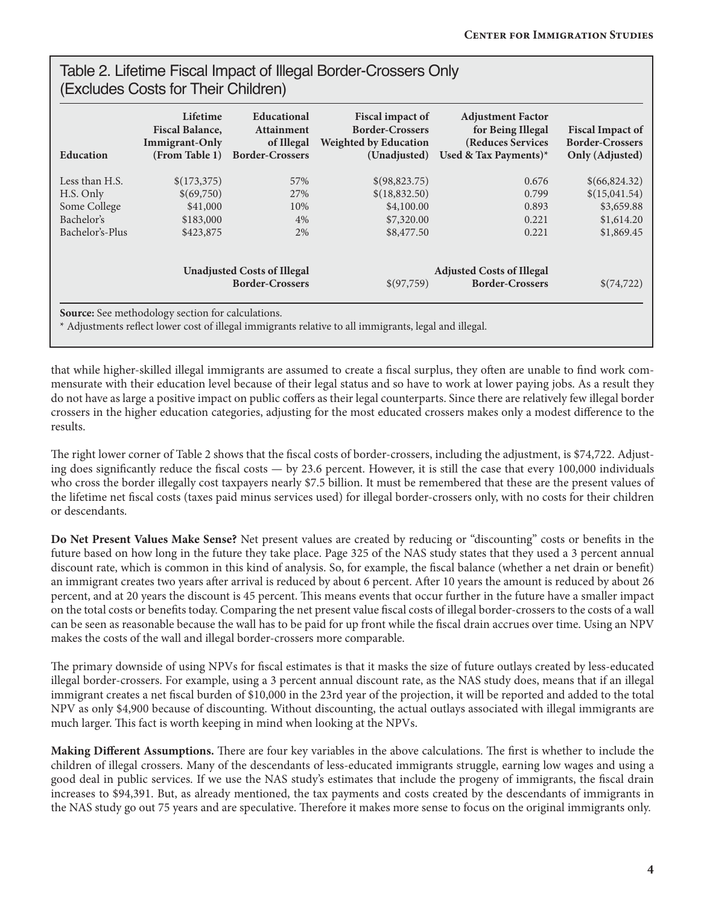### Table 2. Lifetime Fiscal Impact of Illegal Border-Crossers Only (Excludes Costs for Their Children)

| <b>Education</b> | Lifetime<br><b>Fiscal Balance,</b><br><b>Immigrant-Only</b><br>(From Table 1) | <b>Educational</b><br><b>Attainment</b><br>of Illegal<br><b>Border-Crossers</b> | Fiscal impact of<br><b>Border-Crossers</b><br><b>Weighted by Education</b><br>(Unadjusted) | <b>Adjustment Factor</b><br>for Being Illegal<br>(Reduces Services<br>Used & Tax Payments)* | <b>Fiscal Impact of</b><br><b>Border-Crossers</b><br>Only (Adjusted) |
|------------------|-------------------------------------------------------------------------------|---------------------------------------------------------------------------------|--------------------------------------------------------------------------------------------|---------------------------------------------------------------------------------------------|----------------------------------------------------------------------|
| Less than H.S.   | \$(173,375)                                                                   | 57%                                                                             | \$(98,823.75)                                                                              | 0.676                                                                                       | \$(66,824.32)                                                        |
| H.S. Only        | \$(69,750)                                                                    | 27%                                                                             | \$(18,832.50)                                                                              | 0.799                                                                                       | \$(15,041.54)                                                        |
| Some College     | \$41,000                                                                      | 10%                                                                             | \$4,100.00                                                                                 | 0.893                                                                                       | \$3,659.88                                                           |
| Bachelor's       | \$183,000                                                                     | 4%                                                                              | \$7,320.00                                                                                 | 0.221                                                                                       | \$1,614.20                                                           |
| Bachelor's-Plus  | \$423,875                                                                     | 2%                                                                              | \$8,477.50                                                                                 | 0.221                                                                                       | \$1,869.45                                                           |
|                  | <b>Unadjusted Costs of Illegal</b>                                            |                                                                                 |                                                                                            | <b>Adjusted Costs of Illegal</b>                                                            |                                                                      |
|                  | <b>Border-Crossers</b>                                                        |                                                                                 | \$(97,759)                                                                                 | <b>Border-Crossers</b>                                                                      | \$(74,722)                                                           |

that while higher-skilled illegal immigrants are assumed to create a fiscal surplus, they often are unable to find work commensurate with their education level because of their legal status and so have to work at lower paying jobs. As a result they do not have as large a positive impact on public coffers as their legal counterparts. Since there are relatively few illegal border crossers in the higher education categories, adjusting for the most educated crossers makes only a modest difference to the results.

The right lower corner of Table 2 shows that the fiscal costs of border-crossers, including the adjustment, is \$74,722. Adjusting does significantly reduce the fiscal costs — by 23.6 percent. However, it is still the case that every 100,000 individuals who cross the border illegally cost taxpayers nearly \$7.5 billion. It must be remembered that these are the present values of the lifetime net fiscal costs (taxes paid minus services used) for illegal border-crossers only, with no costs for their children or descendants.

**Do Net Present Values Make Sense?** Net present values are created by reducing or "discounting" costs or benefits in the future based on how long in the future they take place. Page 325 of the NAS study states that they used a 3 percent annual discount rate, which is common in this kind of analysis. So, for example, the fiscal balance (whether a net drain or benefit) an immigrant creates two years after arrival is reduced by about 6 percent. After 10 years the amount is reduced by about 26 percent, and at 20 years the discount is 45 percent. This means events that occur further in the future have a smaller impact on the total costs or benefits today. Comparing the net present value fiscal costs of illegal border-crossers to the costs of a wall can be seen as reasonable because the wall has to be paid for up front while the fiscal drain accrues over time. Using an NPV makes the costs of the wall and illegal border-crossers more comparable.

The primary downside of using NPVs for fiscal estimates is that it masks the size of future outlays created by less-educated illegal border-crossers. For example, using a 3 percent annual discount rate, as the NAS study does, means that if an illegal immigrant creates a net fiscal burden of \$10,000 in the 23rd year of the projection, it will be reported and added to the total NPV as only \$4,900 because of discounting. Without discounting, the actual outlays associated with illegal immigrants are much larger. This fact is worth keeping in mind when looking at the NPVs.

**Making Different Assumptions.** There are four key variables in the above calculations. The first is whether to include the children of illegal crossers. Many of the descendants of less-educated immigrants struggle, earning low wages and using a good deal in public services. If we use the NAS study's estimates that include the progeny of immigrants, the fiscal drain increases to \$94,391. But, as already mentioned, the tax payments and costs created by the descendants of immigrants in the NAS study go out 75 years and are speculative. Therefore it makes more sense to focus on the original immigrants only.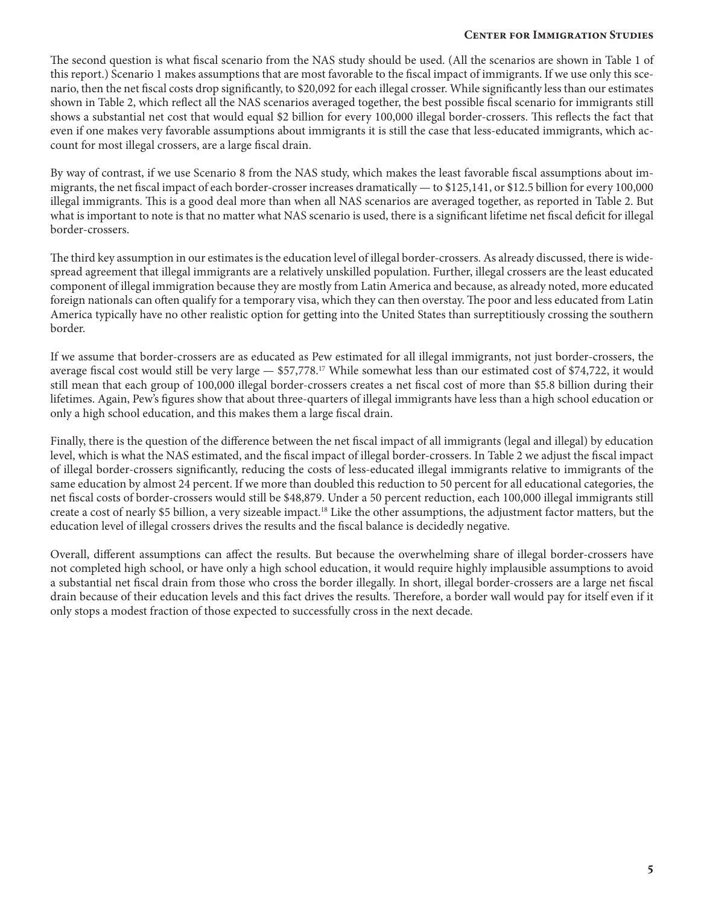#### **Center for Immigration Studies**

The second question is what fiscal scenario from the NAS study should be used. (All the scenarios are shown in Table 1 of this report.) Scenario 1 makes assumptions that are most favorable to the fiscal impact of immigrants. If we use only this scenario, then the net fiscal costs drop significantly, to \$20,092 for each illegal crosser. While significantly less than our estimates shown in Table 2, which reflect all the NAS scenarios averaged together, the best possible fiscal scenario for immigrants still shows a substantial net cost that would equal \$2 billion for every 100,000 illegal border-crossers. This reflects the fact that even if one makes very favorable assumptions about immigrants it is still the case that less-educated immigrants, which account for most illegal crossers, are a large fiscal drain.

By way of contrast, if we use Scenario 8 from the NAS study, which makes the least favorable fiscal assumptions about immigrants, the net fiscal impact of each border-crosser increases dramatically — to \$125,141, or \$12.5 billion for every 100,000 illegal immigrants. This is a good deal more than when all NAS scenarios are averaged together, as reported in Table 2. But what is important to note is that no matter what NAS scenario is used, there is a significant lifetime net fiscal deficit for illegal border-crossers.

The third key assumption in our estimates is the education level of illegal border-crossers. As already discussed, there is widespread agreement that illegal immigrants are a relatively unskilled population. Further, illegal crossers are the least educated component of illegal immigration because they are mostly from Latin America and because, as already noted, more educated foreign nationals can often qualify for a temporary visa, which they can then overstay. The poor and less educated from Latin America typically have no other realistic option for getting into the United States than surreptitiously crossing the southern border.

If we assume that border-crossers are as educated as Pew estimated for all illegal immigrants, not just border-crossers, the average fiscal cost would still be very large — \$57,778.17 While somewhat less than our estimated cost of \$74,722, it would still mean that each group of 100,000 illegal border-crossers creates a net fiscal cost of more than \$5.8 billion during their lifetimes. Again, Pew's figures show that about three-quarters of illegal immigrants have less than a high school education or only a high school education, and this makes them a large fiscal drain.

Finally, there is the question of the difference between the net fiscal impact of all immigrants (legal and illegal) by education level, which is what the NAS estimated, and the fiscal impact of illegal border-crossers. In Table 2 we adjust the fiscal impact of illegal border-crossers significantly, reducing the costs of less-educated illegal immigrants relative to immigrants of the same education by almost 24 percent. If we more than doubled this reduction to 50 percent for all educational categories, the net fiscal costs of border-crossers would still be \$48,879. Under a 50 percent reduction, each 100,000 illegal immigrants still create a cost of nearly \$5 billion, a very sizeable impact.18 Like the other assumptions, the adjustment factor matters, but the education level of illegal crossers drives the results and the fiscal balance is decidedly negative.

Overall, different assumptions can affect the results. But because the overwhelming share of illegal border-crossers have not completed high school, or have only a high school education, it would require highly implausible assumptions to avoid a substantial net fiscal drain from those who cross the border illegally. In short, illegal border-crossers are a large net fiscal drain because of their education levels and this fact drives the results. Therefore, a border wall would pay for itself even if it only stops a modest fraction of those expected to successfully cross in the next decade.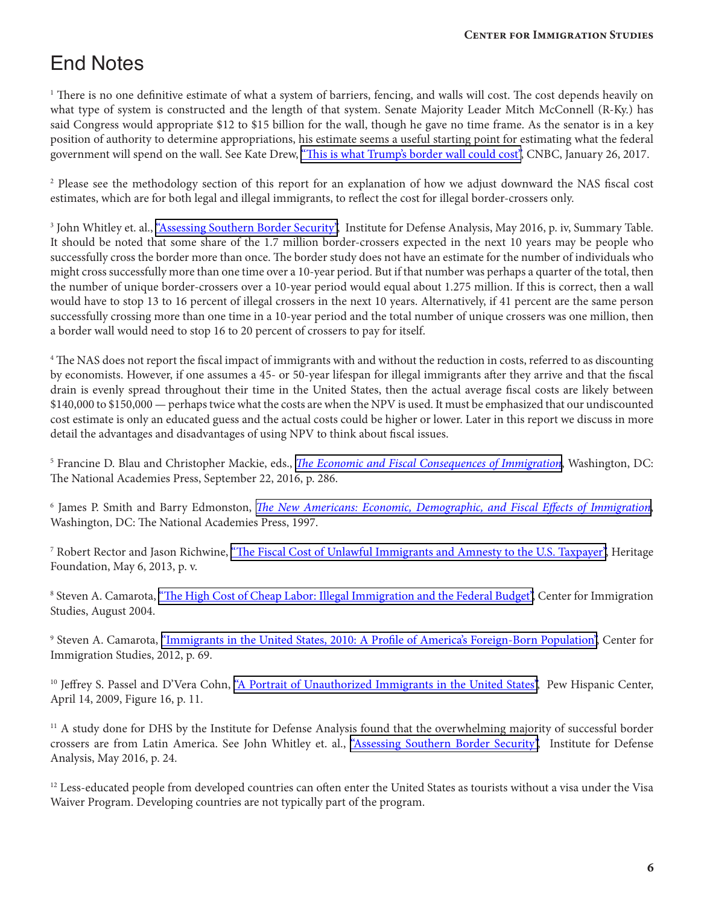## End Notes

<sup>1</sup> There is no one definitive estimate of what a system of barriers, fencing, and walls will cost. The cost depends heavily on what type of system is constructed and the length of that system. Senate Majority Leader Mitch McConnell (R-Ky.) has said Congress would appropriate \$12 to \$15 billion for the wall, though he gave no time frame. As the senator is in a key position of authority to determine appropriations, his estimate seems a useful starting point for estimating what the federal government will spend on the wall. See Kate Drew, ["This is what Trump's border wall could cost"](http://www.cnbc.com/2015/10/09/this-is-what-trumps-border-wall-could-cost-us.html), CNBC, January 26, 2017.

<sup>2</sup> Please see the methodology section of this report for an explanation of how we adjust downward the NAS fiscal cost estimates, which are for both legal and illegal immigrants, to reflect the cost for illegal border-crossers only.

<sup>3</sup> John Whitley et. al., <u>["Assessing Southern Border Security",](http://cis.org/sites/cis.org/files/Border-Crossing-Stats-Report.pdf)</u> Institute for Defense Analysis, May 2016, p. iv, Summary Table. It should be noted that some share of the 1.7 million border-crossers expected in the next 10 years may be people who successfully cross the border more than once. The border study does not have an estimate for the number of individuals who might cross successfully more than one time over a 10-year period. But if that number was perhaps a quarter of the total, then the number of unique border-crossers over a 10-year period would equal about 1.275 million. If this is correct, then a wall would have to stop 13 to 16 percent of illegal crossers in the next 10 years. Alternatively, if 41 percent are the same person successfully crossing more than one time in a 10-year period and the total number of unique crossers was one million, then a border wall would need to stop 16 to 20 percent of crossers to pay for itself.

<sup>4</sup> The NAS does not report the fiscal impact of immigrants with and without the reduction in costs, referred to as discounting by economists. However, if one assumes a 45- or 50-year lifespan for illegal immigrants after they arrive and that the fiscal drain is evenly spread throughout their time in the United States, then the actual average fiscal costs are likely between \$140,000 to \$150,000 — perhaps twice what the costs are when the NPV is used. It must be emphasized that our undiscounted cost estimate is only an educated guess and the actual costs could be higher or lower. Later in this report we discuss in more detail the advantages and disadvantages of using NPV to think about fiscal issues.

5 Francine D. Blau and Christopher Mackie, eds., *[The Economic and Fiscal Consequences of Immigration](https://www.nap.edu/read/23550)*, Washington, DC: The National Academies Press, September 22, 2016, p. 286.

6 James P. Smith and Barry Edmonston, *[The New Americans: Economic, Demographic, and Fiscal Effects of Immigration](https://www.nap.edu/download/5779)*, Washington, DC: The National Academies Press, 1997.

<sup>7</sup> Robert Rector and Jason Richwine, <u>["The Fiscal Cost of Unlawful Immigrants and Amnesty to the U.S. Taxpayer"](http://thf_media.s3.amazonaws.com/2013/pdf/sr133.pdf), Heritage</u> Foundation, May 6, 2013, p. v.

<sup>8</sup> Steven A. Camarota, <u>"The High Cost of Cheap Labor: Illegal Immigration and the Federal Budget", Center for Immigration</u> Studies, August 2004.

<sup>9</sup> Steven A. Camarota, <u>["Immigrants in the United States, 2010: A Profile of America's Foreign-Born Population"](http://cis.org/2012-profile-of-americas-foreign-born-population), Center for</u> Immigration Studies, 2012, p. 69.

<sup>10</sup> Jeffrey S. Passel and D'Vera Cohn, ["A Portrait of Unauthorized Immigrants in the United States"](http://www.pewhispanic.org/files/reports/107.pdf), Pew Hispanic Center, April 14, 2009, Figure 16, p. 11.

<sup>11</sup> A study done for DHS by the Institute for Defense Analysis found that the overwhelming majority of successful border crossers are from Latin America. See John Whitley et. al., ["Assessing Southern Border Security"](http://cis.org/sites/cis.org/files/Border-Crossing-Stats-Report.pdf), Institute for Defense Analysis, May 2016, p. 24.

<sup>12</sup> Less-educated people from developed countries can often enter the United States as tourists without a visa under the Visa Waiver Program. Developing countries are not typically part of the program.